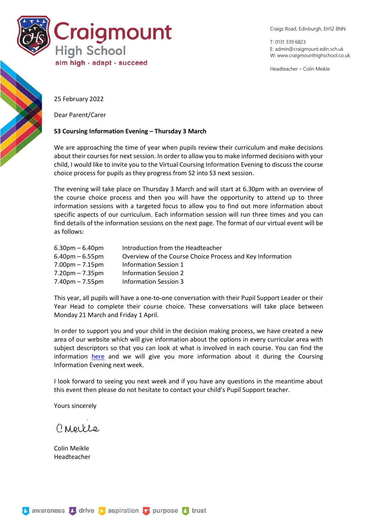

Craigs Road, Edinburgh, EH12 8NN

T: 0131 339 6823 E: [admin@craigmount.edin.sch.uk](mailto:admin@craigmount.edin.sch.uk) W[: www.craigmounthighschool.co.uk](http://www.craigmounthighschool.co.uk/)

Headteacher – Colin Meikle

25 February 2022

Dear Parent/Carer

## **S3 Coursing Information Evening – Thursday 3 March**

We are approaching the time of year when pupils review their curriculum and make decisions about their courses for next session. In order to allow you to make informed decisions with your child, I would like to invite you to the Virtual Coursing Information Evening to discuss the course choice process for pupils as they progress from S2 into S3 next session.

The evening will take place on Thursday 3 March and will start at 6.30pm with an overview of the course choice process and then you will have the opportunity to attend up to three information sessions with a targeted focus to allow you to find out more information about specific aspects of our curriculum. Each information session will run three times and you can find details of the information sessions on the next page. The format of our virtual event will be as follows:

| $6.30pm - 6.40pm$                 | Introduction from the Headteacher                         |
|-----------------------------------|-----------------------------------------------------------|
| $6.40$ pm – 6.55pm                | Overview of the Course Choice Process and Key Information |
| $7.00 \text{pm} - 7.15 \text{pm}$ | <b>Information Session 1</b>                              |
| $7.20 \text{pm} - 7.35 \text{pm}$ | Information Session 2                                     |
| $7.40$ pm – $7.55$ pm             | Information Session 3                                     |

This year, all pupils will have a one-to-one conversation with their Pupil Support Leader or their Year Head to complete their course choice. These conversations will take place between Monday 21 March and Friday 1 April.

In order to support you and your child in the decision making process, we have created a new area of our website which will give information about the options in every curricular area with subject descriptors so that you can look at what is involved in each course. You can find the information [here](https://craigmounthighschool.co.uk/) and we will give you more information about it during the Coursing Information Evening next week.

I look forward to seeing you next week and if you have any questions in the meantime about this event then please do not hesitate to contact your child's Pupil Support teacher.

Yours sincerely

Creekle

Colin Meikle Headteacher